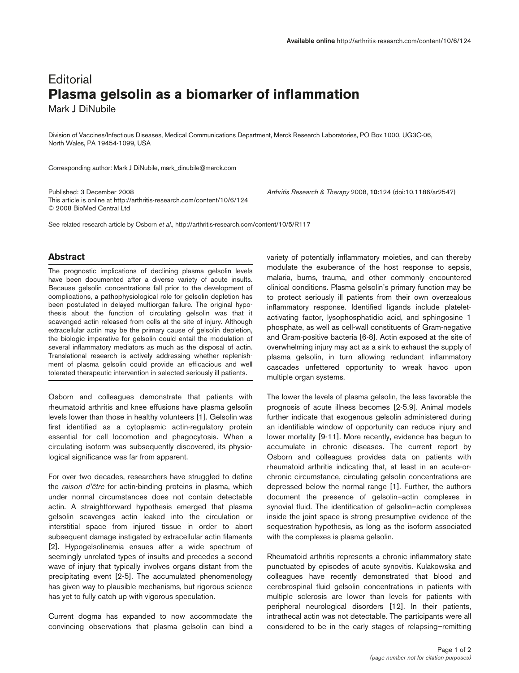# **Editorial Plasma gelsolin as a biomarker of inflammation**

Mark J DiNubile

Division of Vaccines/Infectious Diseases, Medical Communications Department, Merck Research Laboratories, PO Box 1000, UG3C-06, North Wales, PA 19454-1099, USA

Corresponding author: Mark J DiNubile, mark\_dinubile@merck.com

Published: 3 December 2008 *Arthritis Research & Therapy* 2008, **10:**124 (doi:10.1186/ar2547) This article is online at http://arthritis-research.com/content/10/6/124 © 2008 BioMed Central Ltd

See related research article by Osborn *et al*., http://arthritis-research.com/content/10/5/R117

## **Abstract**

The prognostic implications of declining plasma gelsolin levels have been documented after a diverse variety of acute insults. Because gelsolin concentrations fall prior to the development of complications, a pathophysiological role for gelsolin depletion has been postulated in delayed multiorgan failure. The original hypothesis about the function of circulating gelsolin was that it scavenged actin released from cells at the site of injury. Although extracellular actin may be the primary cause of gelsolin depletion, the biologic imperative for gelsolin could entail the modulation of several inflammatory mediators as much as the disposal of actin. Translational research is actively addressing whether replenishment of plasma gelsolin could provide an efficacious and well tolerated therapeutic intervention in selected seriously ill patients.

Osborn and colleagues demonstrate that patients with rheumatoid arthritis and knee effusions have plasma gelsolin levels lower than those in healthy volunteers [1]. Gelsolin was first identified as a cytoplasmic actin-regulatory protein essential for cell locomotion and phagocytosis. When a circulating isoform was subsequently discovered, its physiological significance was far from apparent.

For over two decades, researchers have struggled to define the *raison d'être* for actin-binding proteins in plasma, which under normal circumstances does not contain detectable actin. A straightforward hypothesis emerged that plasma gelsolin scavenges actin leaked into the circulation or interstitial space from injured tissue in order to abort subsequent damage instigated by extracellular actin filaments [2]. Hypogelsolinemia ensues after a wide spectrum of seemingly unrelated types of insults and precedes a second wave of injury that typically involves organs distant from the precipitating event [2-5]. The accumulated phenomenology has given way to plausible mechanisms, but rigorous science has yet to fully catch up with vigorous speculation.

Current dogma has expanded to now accommodate the convincing observations that plasma gelsolin can bind a variety of potentially inflammatory moieties, and can thereby modulate the exuberance of the host response to sepsis, malaria, burns, trauma, and other commonly encountered clinical conditions. Plasma gelsolin's primary function may be to protect seriously ill patients from their own overzealous inflammatory response. Identified ligands include plateletactivating factor, lysophosphatidic acid, and sphingosine 1 phosphate, as well as cell-wall constituents of Gram-negative and Gram-positive bacteria [6-8]. Actin exposed at the site of overwhelming injury may act as a sink to exhaust the supply of plasma gelsolin, in turn allowing redundant inflammatory cascades unfettered opportunity to wreak havoc upon multiple organ systems.

The lower the levels of plasma gelsolin, the less favorable the prognosis of acute illness becomes [2-5,9]. Animal models further indicate that exogenous gelsolin administered during an identifiable window of opportunity can reduce injury and lower mortality [9-11]. More recently, evidence has begun to accumulate in chronic diseases. The current report by Osborn and colleagues provides data on patients with rheumatoid arthritis indicating that, at least in an acute-orchronic circumstance, circulating gelsolin concentrations are depressed below the normal range [1]. Further, the authors document the presence of gelsolin–actin complexes in synovial fluid. The identification of gelsolin–actin complexes inside the joint space is strong presumptive evidence of the sequestration hypothesis, as long as the isoform associated with the complexes is plasma gelsolin.

Rheumatoid arthritis represents a chronic inflammatory state punctuated by episodes of acute synovitis. Kulakowska and colleagues have recently demonstrated that blood and cerebrospinal fluid gelsolin concentrations in patients with multiple sclerosis are lower than levels for patients with peripheral neurological disorders [12]. In their patients, intrathecal actin was not detectable. The participants were all considered to be in the early stages of relapsing–remitting